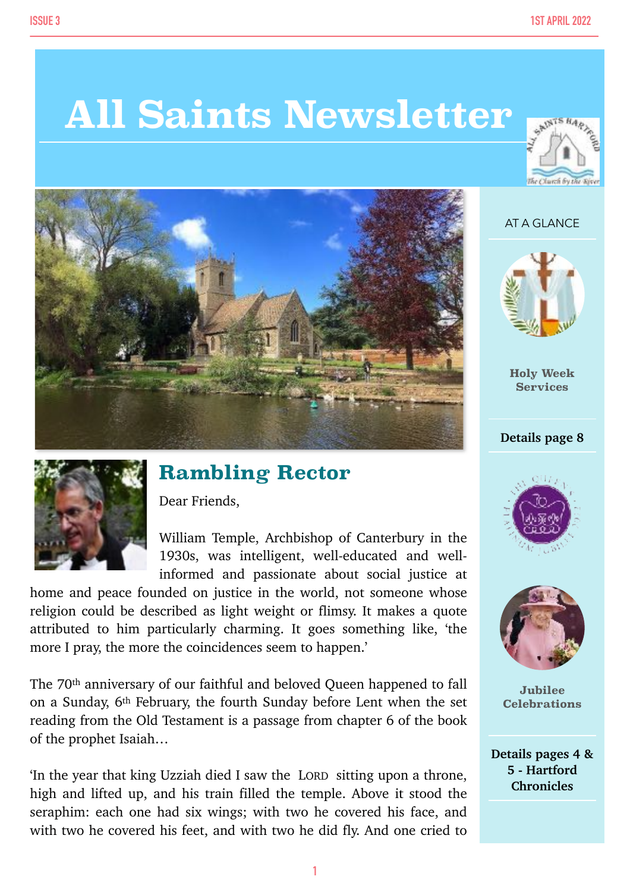# **All Saints Newsletter**



#### AT A GLANCE



**Holy Week Services**

#### **Details page 8**





**Jubilee Celebrations**

**Details pages 4 & 5 - Hartford Chronicles**



### **Rambling Rector**

Dear Friends,

William Temple, Archbishop of Canterbury in the 1930s, was intelligent, well-educated and wellinformed and passionate about social justice at

home and peace founded on justice in the world, not someone whose religion could be described as light weight or flimsy. It makes a quote attributed to him particularly charming. It goes something like, 'the more I pray, the more the coincidences seem to happen.'

The 70th anniversary of our faithful and beloved Queen happened to fall on a Sunday, 6th February, the fourth Sunday before Lent when the set reading from the Old Testament is a passage from chapter 6 of the book of the prophet Isaiah…

'In the year that king Uzziah died I saw the LORD sitting upon a throne, high and lifted up, and his train filled the temple. Above it stood the seraphim: each one had six wings; with two he covered his face, and with two he covered his feet, and with two he did fly. And one cried to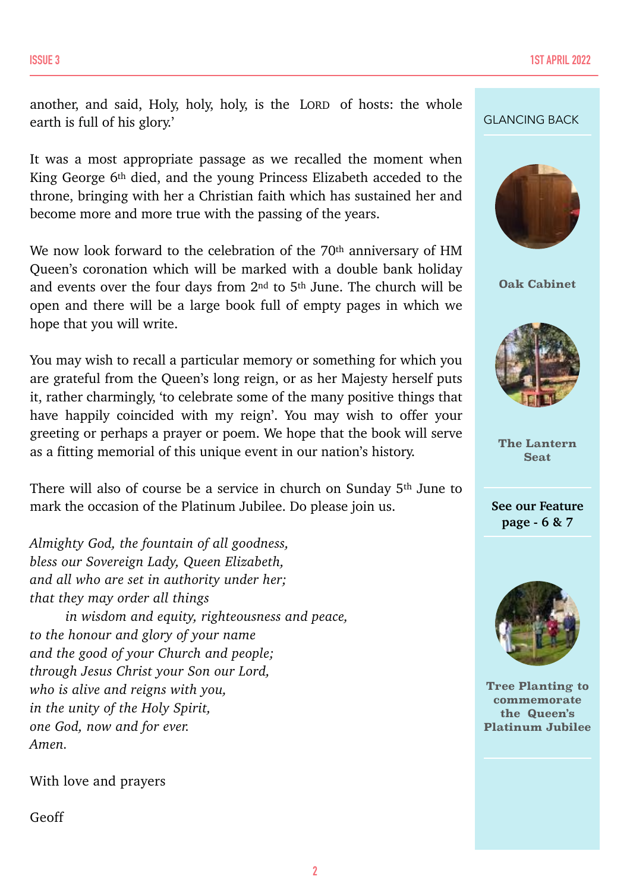another, and said, Holy, holy, holy, is the LORD of hosts: the whole earth is full of his glory.'

It was a most appropriate passage as we recalled the moment when King George 6th died, and the young Princess Elizabeth acceded to the throne, bringing with her a Christian faith which has sustained her and become more and more true with the passing of the years.

We now look forward to the celebration of the 70<sup>th</sup> anniversary of HM Queen's coronation which will be marked with a double bank holiday and events over the four days from 2<sup>nd</sup> to 5<sup>th</sup> June. The church will be open and there will be a large book full of empty pages in which we hope that you will write.

You may wish to recall a particular memory or something for which you are grateful from the Queen's long reign, or as her Majesty herself puts it, rather charmingly, 'to celebrate some of the many positive things that have happily coincided with my reign'. You may wish to offer your greeting or perhaps a prayer or poem. We hope that the book will serve as a fitting memorial of this unique event in our nation's history.

There will also of course be a service in church on Sunday 5th June to mark the occasion of the Platinum Jubilee. Do please join us.

*Almighty God, the fountain of all goodness, bless our Sovereign Lady, Queen Elizabeth, and all who are set in authority under her; that they may order all things in wisdom and equity, righteousness and peace, to the honour and glory of your name and the good of your Church and people; through Jesus Christ your Son our Lord, who is alive and reigns with you, in the unity of the Holy Spirit, one God, now and for ever. Amen.*

With love and prayers

Geoff

#### GLANCING BACK



**Oak Cabinet**



**The Lantern Seat**

**See our Feature page - 6 & 7**



**Tree Planting to commemorate the Queen's Platinum Jubilee**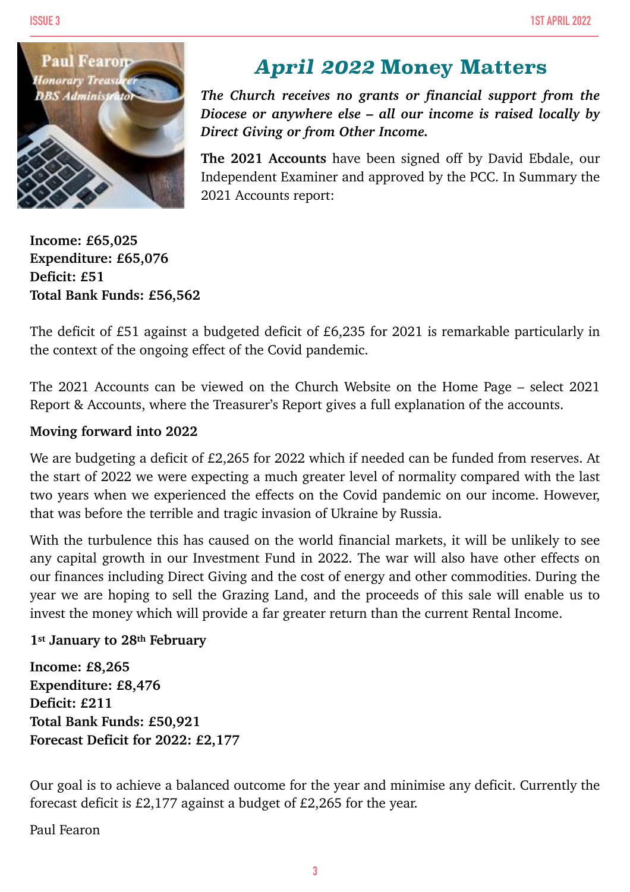

### *April 2022* **Money Matters**

*The Church receives no grants or financial support from the Diocese or anywhere else – all our income is raised locally by Direct Giving or from Other Income.*

**The 2021 Accounts** have been signed off by David Ebdale, our Independent Examiner and approved by the PCC. In Summary the 2021 Accounts report:

**Income: £65,025 Expenditure: £65,076 Deficit: £51 Total Bank Funds: £56,562**

The deficit of £51 against a budgeted deficit of £6,235 for 2021 is remarkable particularly in the context of the ongoing effect of the Covid pandemic.

The 2021 Accounts can be viewed on the Church Website on the Home Page – select 2021 Report & Accounts, where the Treasurer's Report gives a full explanation of the accounts.

#### **Moving forward into 2022**

We are budgeting a deficit of £2,265 for 2022 which if needed can be funded from reserves. At the start of 2022 we were expecting a much greater level of normality compared with the last two years when we experienced the effects on the Covid pandemic on our income. However, that was before the terrible and tragic invasion of Ukraine by Russia.

With the turbulence this has caused on the world financial markets, it will be unlikely to see any capital growth in our Investment Fund in 2022. The war will also have other effects on our finances including Direct Giving and the cost of energy and other commodities. During the year we are hoping to sell the Grazing Land, and the proceeds of this sale will enable us to invest the money which will provide a far greater return than the current Rental Income.

#### **1st January to 28th February**

**Income: £8,265 Expenditure: £8,476 Deficit: £211 Total Bank Funds: £50,921 Forecast Deficit for 2022: £2,177**

Our goal is to achieve a balanced outcome for the year and minimise any deficit. Currently the forecast deficit is £2,177 against a budget of £2,265 for the year.

Paul Fearon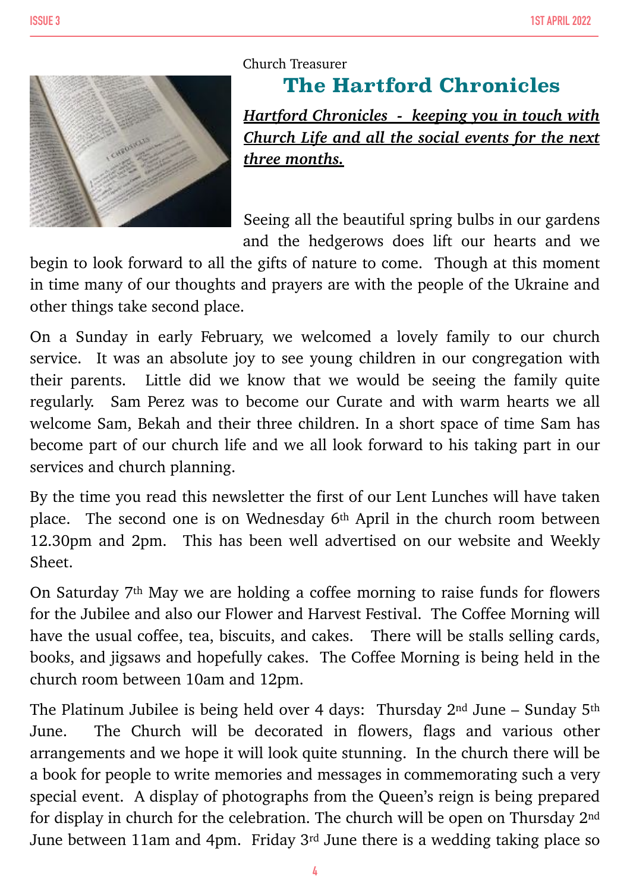

### Church Treasurer **The Hartford Chronicles** *Hartford Chronicles - keeping you in touch with*

*Church Life and all the social events for the next three months.*

Seeing all the beautiful spring bulbs in our gardens and the hedgerows does lift our hearts and we

begin to look forward to all the gifts of nature to come. Though at this moment in time many of our thoughts and prayers are with the people of the Ukraine and other things take second place.

On a Sunday in early February, we welcomed a lovely family to our church service. It was an absolute joy to see young children in our congregation with their parents. Little did we know that we would be seeing the family quite regularly. Sam Perez was to become our Curate and with warm hearts we all welcome Sam, Bekah and their three children. In a short space of time Sam has become part of our church life and we all look forward to his taking part in our services and church planning.

By the time you read this newsletter the first of our Lent Lunches will have taken place. The second one is on Wednesday 6th April in the church room between 12.30pm and 2pm. This has been well advertised on our website and Weekly Sheet.

On Saturday 7th May we are holding a coffee morning to raise funds for flowers for the Jubilee and also our Flower and Harvest Festival. The Coffee Morning will have the usual coffee, tea, biscuits, and cakes. There will be stalls selling cards, books, and jigsaws and hopefully cakes. The Coffee Morning is being held in the church room between 10am and 12pm.

The Platinum Jubilee is being held over 4 days: Thursday 2nd June – Sunday 5th June. The Church will be decorated in flowers, flags and various other arrangements and we hope it will look quite stunning. In the church there will be a book for people to write memories and messages in commemorating such a very special event. A display of photographs from the Queen's reign is being prepared for display in church for the celebration. The church will be open on Thursday 2nd June between 11am and 4pm. Friday 3rd June there is a wedding taking place so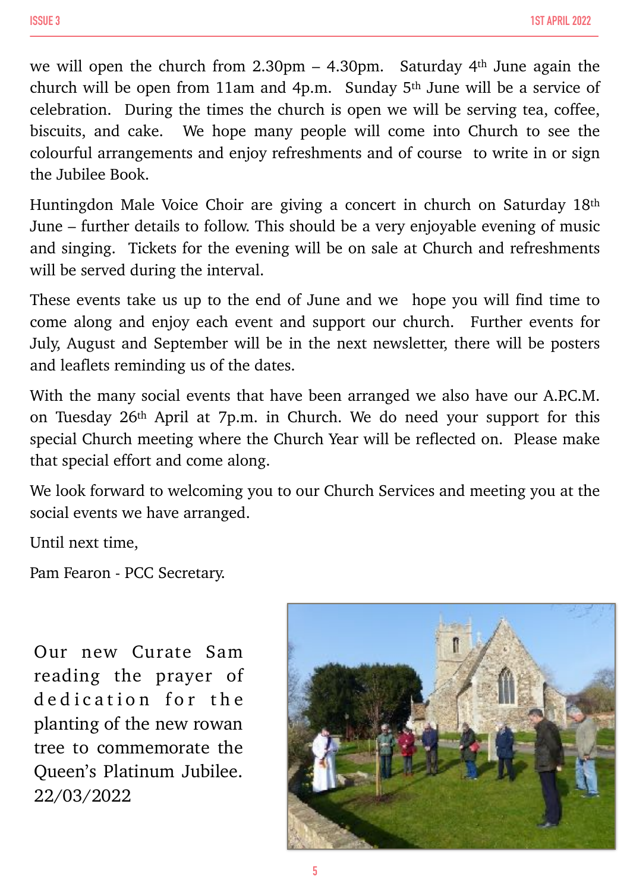we will open the church from  $2.30 \text{pm} - 4.30 \text{pm}$ . Saturday 4<sup>th</sup> June again the church will be open from 11am and 4p.m. Sunday 5th June will be a service of celebration. During the times the church is open we will be serving tea, coffee, biscuits, and cake. We hope many people will come into Church to see the colourful arrangements and enjoy refreshments and of course to write in or sign the Jubilee Book.

Huntingdon Male Voice Choir are giving a concert in church on Saturday 18th June – further details to follow. This should be a very enjoyable evening of music and singing. Tickets for the evening will be on sale at Church and refreshments will be served during the interval.

These events take us up to the end of June and we hope you will find time to come along and enjoy each event and support our church. Further events for July, August and September will be in the next newsletter, there will be posters and leaflets reminding us of the dates.

With the many social events that have been arranged we also have our A.P.C.M. on Tuesday 26th April at 7p.m. in Church. We do need your support for this special Church meeting where the Church Year will be reflected on. Please make that special effort and come along.

We look forward to welcoming you to our Church Services and meeting you at the social events we have arranged.

Until next time,

Pam Fearon - PCC Secretary.

Our new Curate Sam reading the prayer of dedication for the planting of the new rowan tree to commemorate the Queen's Platinum Jubilee. 22/03/2022

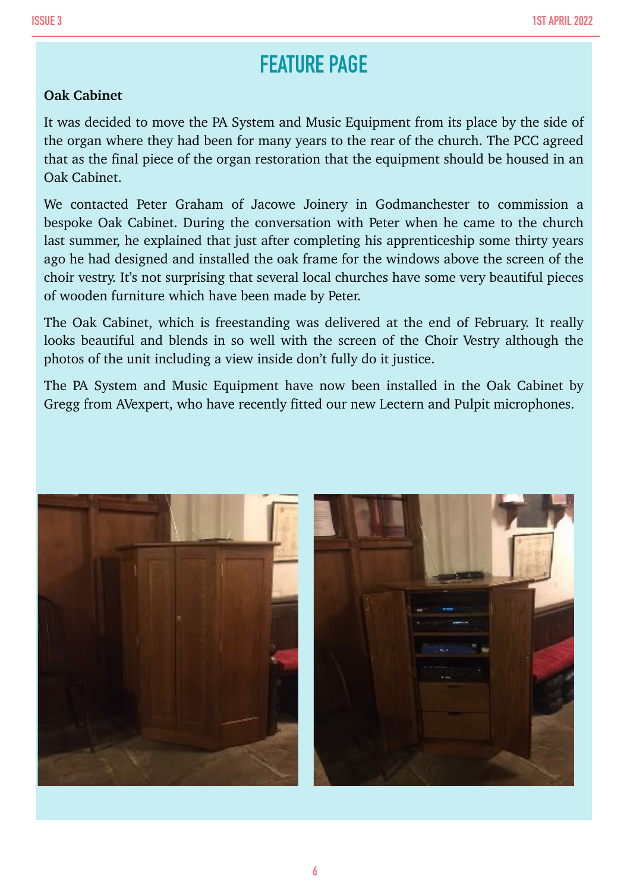## **FEATURE PAGE**

#### **Oak Cabinet**

It was decided to move the PA System and Music Equipment from its place by the side of the organ where they had been for many years to the rear of the church. The PCC agreed that as the final piece of the organ restoration that the equipment should be housed in an Oak Cabinet.

We contacted Peter Graham of Jacowe Joinery in Godmanchester to commission a bespoke Oak Cabinet. During the conversation with Peter when he came to the church last summer, he explained that just after completing his apprenticeship some thirty years ago he had designed and installed the oak frame for the windows above the screen of the choir vestry. It's not surprising that several local churches have some very beautiful pieces of wooden furniture which have been made by Peter.

The Oak Cabinet, which is freestanding was delivered at the end of February. It really looks beautiful and blends in so well with the screen of the Choir Vestry although the photos of the unit including a view inside don't fully do it justice.

The PA System and Music Equipment have now been installed in the Oak Cabinet by Gregg from AVexpert, who have recently fitted our new Lectern and Pulpit microphones.

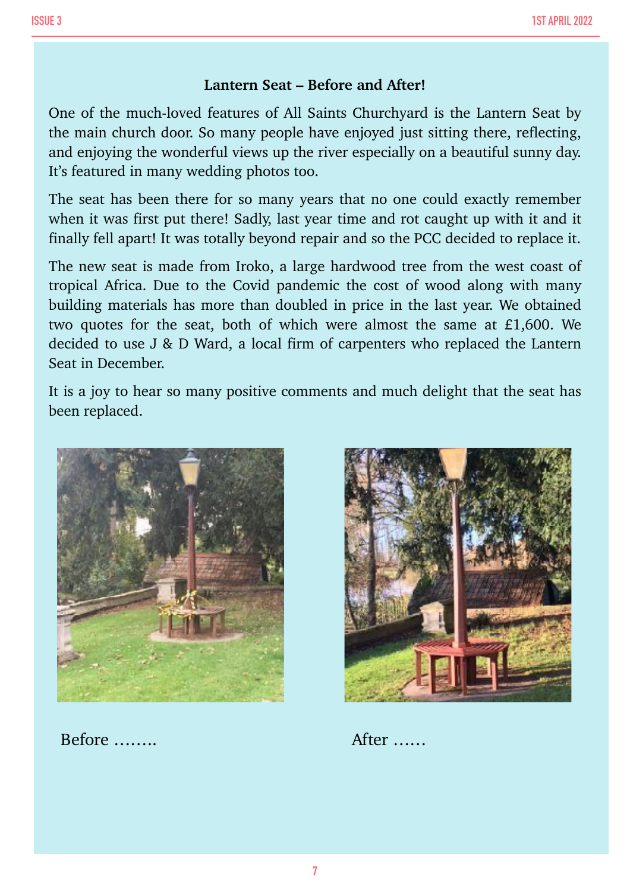#### **Lantern Seat – Before and After!**

One of the much-loved features of All Saints Churchyard is the Lantern Seat by the main church door. So many people have enjoyed just sitting there, reflecting, and enjoying the wonderful views up the river especially on a beautiful sunny day. It's featured in many wedding photos too.

The seat has been there for so many years that no one could exactly remember when it was first put there! Sadly, last year time and rot caught up with it and it finally fell apart! It was totally beyond repair and so the PCC decided to replace it.

The new seat is made from Iroko, a large hardwood tree from the west coast of tropical Africa. Due to the Covid pandemic the cost of wood along with many building materials has more than doubled in price in the last year. We obtained two quotes for the seat, both of which were almost the same at £1,600. We decided to use J & D Ward, a local firm of carpenters who replaced the Lantern Seat in December.

It is a joy to hear so many positive comments and much delight that the seat has been replaced.



Before …….. After ……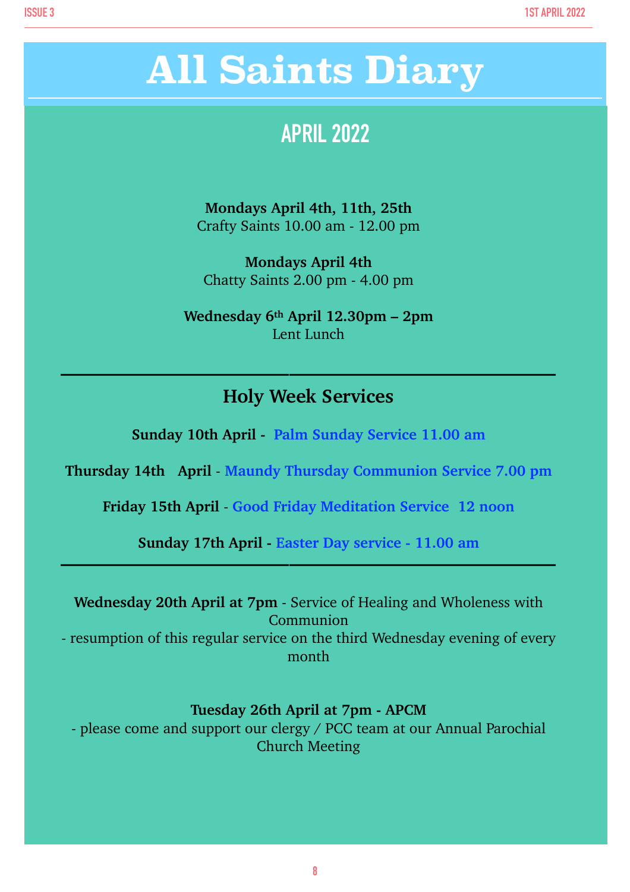# **All Saints Diary**

## **APRIL 2022**

**Mondays April 4th, 11th, 25th** Crafty Saints 10.00 am - 12.00 pm

**Mondays April 4th** Chatty Saints 2.00 pm - 4.00 pm

**Wednesday 6th April 12.30pm – 2pm** Lent Lunch

### **Holy Week Services**

**——————————————————————————**

**Sunday 10th April - Palm Sunday Service 11.00 am**

**Thursday 14th April** - **Maundy Thursday Communion Service 7.00 pm**

**Friday 15th April** - **Good Friday Meditation Service 12 noon**

**Sunday 17th April - Easter Day service - 11.00 am**

**——————————————————————————**

| <b>Wednesday 20th April at 7pm - Service of Healing and Wholeness with</b>   |
|------------------------------------------------------------------------------|
| Communion                                                                    |
| - resumption of this regular service on the third Wednesday evening of every |
| month                                                                        |

#### **Tuesday 26th April at 7pm - APCM**

- please come and support our clergy / PCC team at our Annual Parochial Church Meeting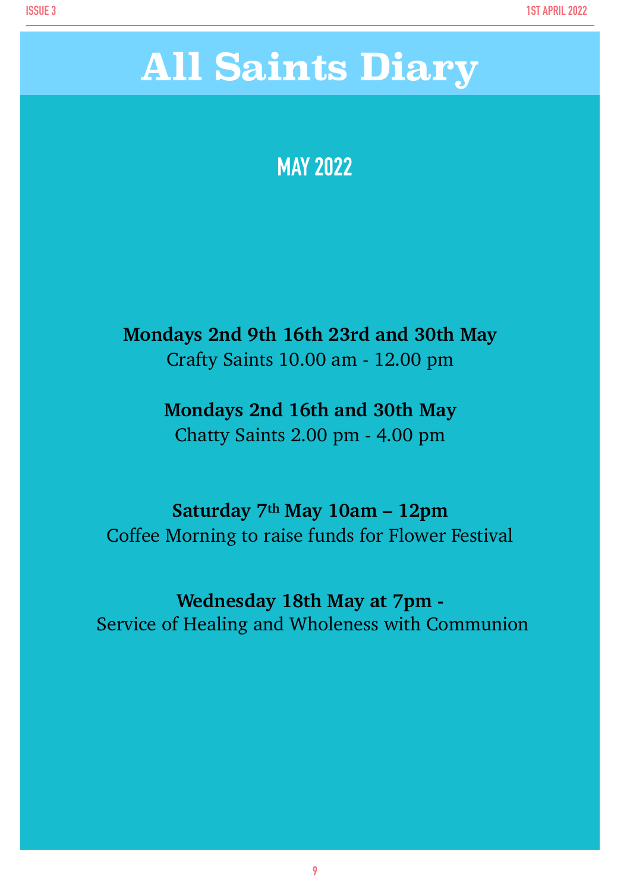# **MAY 2022**

**Mondays 2nd 9th 16th 23rd and 30th May** Crafty Saints 10.00 am - 12.00 pm

> **Mondays 2nd 16th and 30th May** Chatty Saints 2.00 pm - 4.00 pm

**Saturday 7th May 10am – 12pm** Coffee Morning to raise funds for Flower Festival

**Wednesday 18th May at 7pm -** Service of Healing and Wholeness with Communion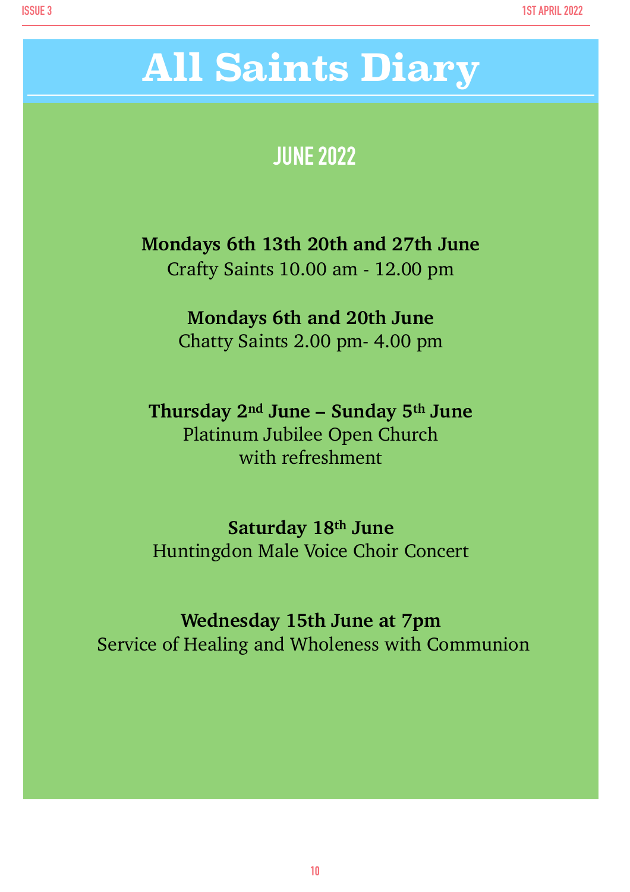# **All Saints Diary**

## **JUNE 2022**

**Mondays 6th 13th 20th and 27th June** Crafty Saints 10.00 am - 12.00 pm

> **Mondays 6th and 20th June** Chatty Saints 2.00 pm- 4.00 pm

**Thursday 2nd June – Sunday 5th June** Platinum Jubilee Open Church with refreshment

**Saturday 18th June** Huntingdon Male Voice Choir Concert

**Wednesday 15th June at 7pm**  Service of Healing and Wholeness with Communion